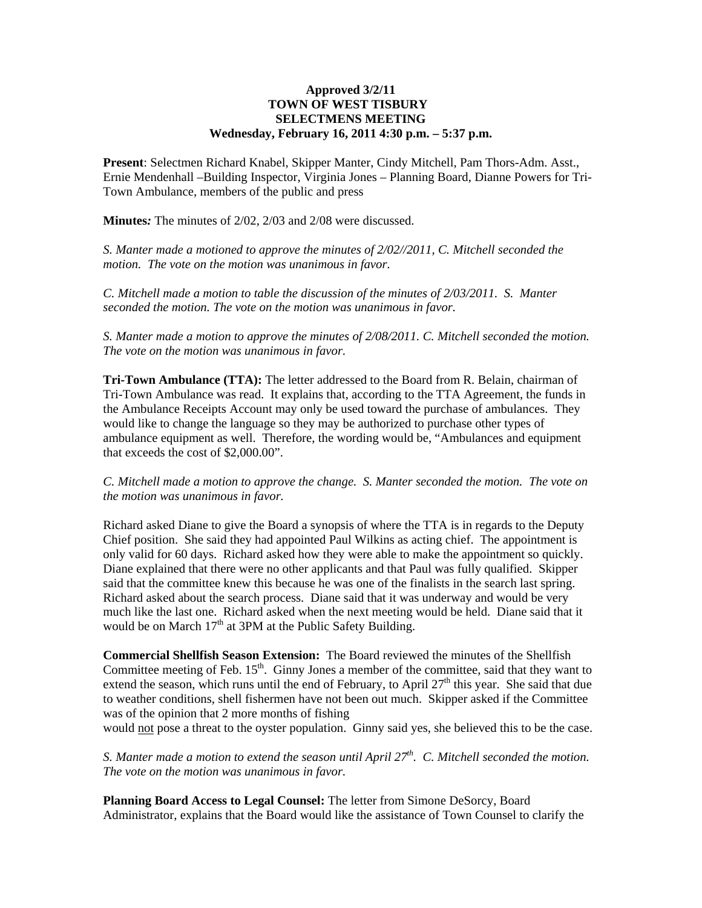## **Approved 3/2/11 TOWN OF WEST TISBURY SELECTMENS MEETING Wednesday, February 16, 2011 4:30 p.m. – 5:37 p.m.**

**Present**: Selectmen Richard Knabel, Skipper Manter, Cindy Mitchell, Pam Thors-Adm. Asst., Ernie Mendenhall –Building Inspector, Virginia Jones – Planning Board, Dianne Powers for Tri-Town Ambulance, members of the public and press

**Minutes***:* The minutes of 2/02, 2/03 and 2/08 were discussed.

*S. Manter made a motioned to approve the minutes of 2/02//2011, C. Mitchell seconded the motion. The vote on the motion was unanimous in favor.* 

*C. Mitchell made a motion to table the discussion of the minutes of 2/03/2011. S. Manter seconded the motion. The vote on the motion was unanimous in favor.* 

*S. Manter made a motion to approve the minutes of 2/08/2011. C. Mitchell seconded the motion. The vote on the motion was unanimous in favor.* 

**Tri-Town Ambulance (TTA):** The letter addressed to the Board from R. Belain, chairman of Tri-Town Ambulance was read. It explains that, according to the TTA Agreement, the funds in the Ambulance Receipts Account may only be used toward the purchase of ambulances. They would like to change the language so they may be authorized to purchase other types of ambulance equipment as well. Therefore, the wording would be, "Ambulances and equipment that exceeds the cost of \$2,000.00".

## *C. Mitchell made a motion to approve the change. S. Manter seconded the motion. The vote on the motion was unanimous in favor.*

Richard asked Diane to give the Board a synopsis of where the TTA is in regards to the Deputy Chief position. She said they had appointed Paul Wilkins as acting chief. The appointment is only valid for 60 days. Richard asked how they were able to make the appointment so quickly. Diane explained that there were no other applicants and that Paul was fully qualified. Skipper said that the committee knew this because he was one of the finalists in the search last spring. Richard asked about the search process. Diane said that it was underway and would be very much like the last one. Richard asked when the next meeting would be held. Diane said that it would be on March  $17<sup>th</sup>$  at 3PM at the Public Safety Building.

**Commercial Shellfish Season Extension:** The Board reviewed the minutes of the Shellfish Committee meeting of Feb.  $15<sup>th</sup>$ . Ginny Jones a member of the committee, said that they want to extend the season, which runs until the end of February, to April  $27<sup>th</sup>$  this year. She said that due to weather conditions, shell fishermen have not been out much. Skipper asked if the Committee was of the opinion that 2 more months of fishing

would not pose a threat to the oyster population. Ginny said yes, she believed this to be the case.

*S. Manter made a motion to extend the season until April 27<sup>th</sup>. C. Mitchell seconded the motion. The vote on the motion was unanimous in favor.* 

**Planning Board Access to Legal Counsel:** The letter from Simone DeSorcy, Board Administrator, explains that the Board would like the assistance of Town Counsel to clarify the